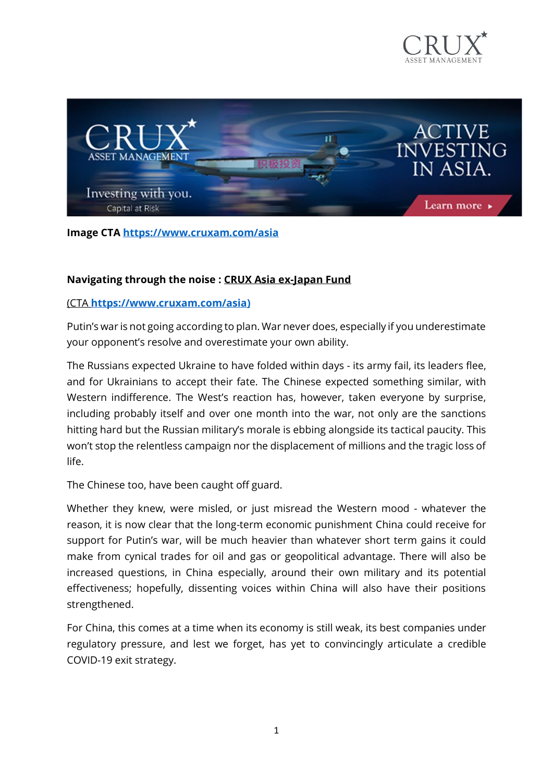



**Image CTA <https://www.cruxam.com/asia>**

## **Navigating through the noise : CRUX Asia ex-Japan Fund**

## (CTA **[https://www.cruxam.com/asia\)](https://www.cruxam.com/asia)**

Putin's war is not going according to plan. War never does, especially if you underestimate your opponent's resolve and overestimate your own ability.

The Russians expected Ukraine to have folded within days - its army fail, its leaders flee, and for Ukrainians to accept their fate. The Chinese expected something similar, with Western indifference. The West's reaction has, however, taken everyone by surprise, including probably itself and over one month into the war, not only are the sanctions hitting hard but the Russian military's morale is ebbing alongside its tactical paucity. This won't stop the relentless campaign nor the displacement of millions and the tragic loss of life.

The Chinese too, have been caught off guard.

Whether they knew, were misled, or just misread the Western mood - whatever the reason, it is now clear that the long-term economic punishment China could receive for support for Putin's war, will be much heavier than whatever short term gains it could make from cynical trades for oil and gas or geopolitical advantage. There will also be increased questions, in China especially, around their own military and its potential effectiveness; hopefully, dissenting voices within China will also have their positions strengthened.

For China, this comes at a time when its economy is still weak, its best companies under regulatory pressure, and lest we forget, has yet to convincingly articulate a credible COVID-19 exit strategy.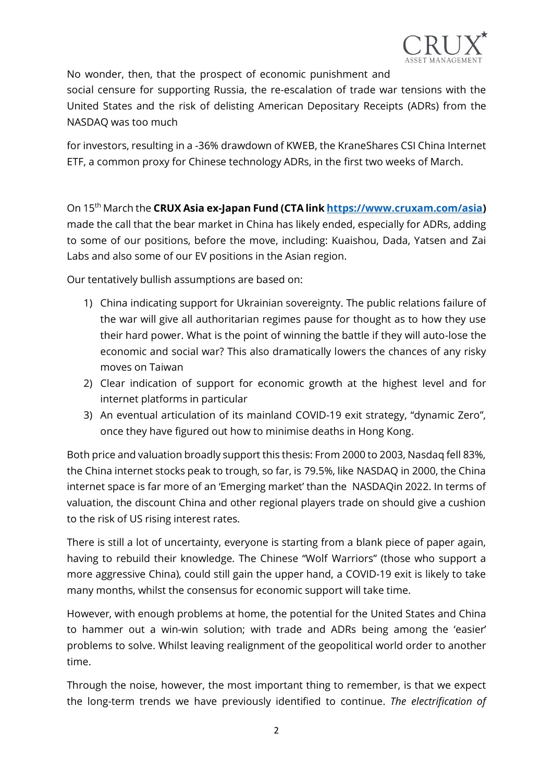

No wonder, then, that the prospect of economic punishment and

social censure for supporting Russia, the re-escalation of trade war tensions with the United States and the risk of delisting American Depositary Receipts (ADRs) from the NASDAQ was too much

for investors, resulting in a -36% drawdown of KWEB, the KraneShares CSI China Internet ETF, a common proxy for Chinese technology ADRs, in the first two weeks of March.

On 15th March the **CRUX Asia ex-Japan Fund (CTA link [https://www.cruxam.com/asia\)](https://www.cruxam.com/asia)**  made the call that the bear market in China has likely ended, especially for ADRs, adding to some of our positions, before the move, including: Kuaishou, Dada, Yatsen and Zai Labs and also some of our EV positions in the Asian region.

Our tentatively bullish assumptions are based on:

- 1) China indicating support for Ukrainian sovereignty. The public relations failure of the war will give all authoritarian regimes pause for thought as to how they use their hard power. What is the point of winning the battle if they will auto-lose the economic and social war? This also dramatically lowers the chances of any risky moves on Taiwan
- 2) Clear indication of support for economic growth at the highest level and for internet platforms in particular
- 3) An eventual articulation of its mainland COVID-19 exit strategy, "dynamic Zero", once they have figured out how to minimise deaths in Hong Kong.

Both price and valuation broadly support this thesis: From 2000 to 2003, Nasdaq fell 83%, the China internet stocks peak to trough, so far, is 79.5%, like NASDAQ in 2000, the China internet space is far more of an 'Emerging market' than the NASDAQin 2022. In terms of valuation, the discount China and other regional players trade on should give a cushion to the risk of US rising interest rates.

There is still a lot of uncertainty, everyone is starting from a blank piece of paper again, having to rebuild their knowledge. The Chinese "Wolf Warriors" (those who support a more aggressive China), could still gain the upper hand, a COVID-19 exit is likely to take many months, whilst the consensus for economic support will take time.

However, with enough problems at home, the potential for the United States and China to hammer out a win-win solution; with trade and ADRs being among the 'easier' problems to solve. Whilst leaving realignment of the geopolitical world order to another time.

Through the noise, however, the most important thing to remember, is that we expect the long-term trends we have previously identified to continue. *The electrification of*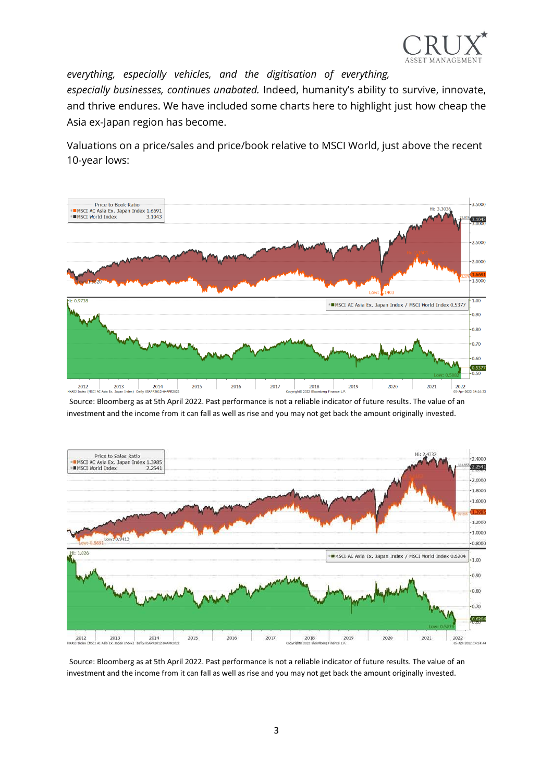

*everything, especially vehicles, and the digitisation of everything, especially businesses, continues unabated.* Indeed, humanity's ability to survive, innovate, and thrive endures. We have included some charts here to highlight just how cheap the Asia ex-Japan region has become.

Valuations on a price/sales and price/book relative to MSCI World, just above the recent 10-year lows:



Source: Bloomberg as at 5th April 2022. Past performance is not a reliable indicator of future results. The value of an investment and the income from it can fall as well as rise and you may not get back the amount originally invested.



Source: Bloomberg as at 5th April 2022. Past performance is not a reliable indicator of future results. The value of an investment and the income from it can fall as well as rise and you may not get back the amount originally invested.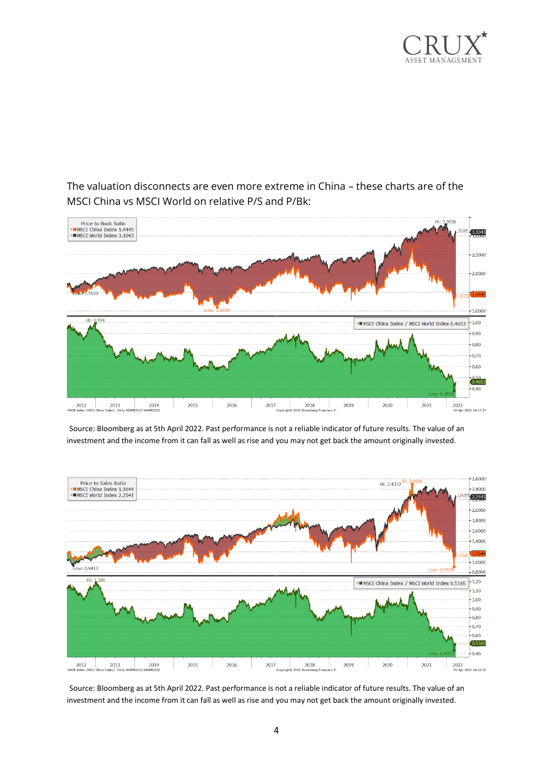

The valuation disconnects are even more extreme in China – these charts are of the MSCI China vs MSCI World on relative P/S and P/Bk:



Source: Bloomberg as at 5th April 2022. Past performance is not a reliable indicator of future results. The value of an investment and the income from it can fall as well as rise and you may not get back the amount originally invested.



Source: Bloomberg as at 5th April 2022. Past performance is not a reliable indicator of future results. The value of an investment and the income from it can fall as well as rise and you may not get back the amount originally invested.